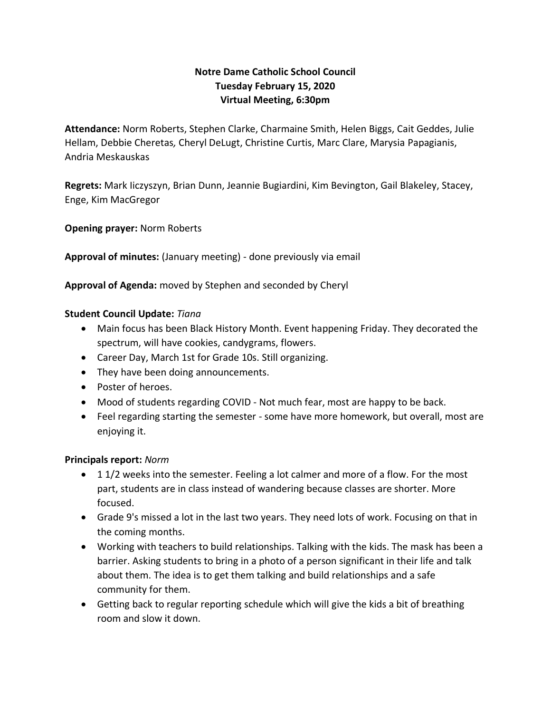# **Notre Dame Catholic School Council Tuesday February 15, 2020 Virtual Meeting, 6:30pm**

**Attendance:** Norm Roberts, Stephen Clarke, Charmaine Smith, Helen Biggs, Cait Geddes, Julie Hellam, Debbie Cheretas*,* Cheryl DeLugt, Christine Curtis, Marc Clare, Marysia Papagianis, Andria Meskauskas

**Regrets:** Mark Iiczyszyn, Brian Dunn, Jeannie Bugiardini, Kim Bevington, Gail Blakeley, Stacey, Enge, Kim MacGregor

**Opening prayer:** Norm Roberts

**Approval of minutes:** (January meeting) - done previously via email

**Approval of Agenda:** moved by Stephen and seconded by Cheryl

#### **Student Council Update:** *Tiana*

- Main focus has been Black History Month. Event happening Friday. They decorated the spectrum, will have cookies, candygrams, flowers.
- Career Day, March 1st for Grade 10s. Still organizing.
- They have been doing announcements.
- Poster of heroes.
- Mood of students regarding COVID Not much fear, most are happy to be back.
- Feel regarding starting the semester some have more homework, but overall, most are enjoying it.

#### **Principals report:** *Norm*

- 11/2 weeks into the semester. Feeling a lot calmer and more of a flow. For the most part, students are in class instead of wandering because classes are shorter. More focused.
- Grade 9's missed a lot in the last two years. They need lots of work. Focusing on that in the coming months.
- Working with teachers to build relationships. Talking with the kids. The mask has been a barrier. Asking students to bring in a photo of a person significant in their life and talk about them. The idea is to get them talking and build relationships and a safe community for them.
- Getting back to regular reporting schedule which will give the kids a bit of breathing room and slow it down.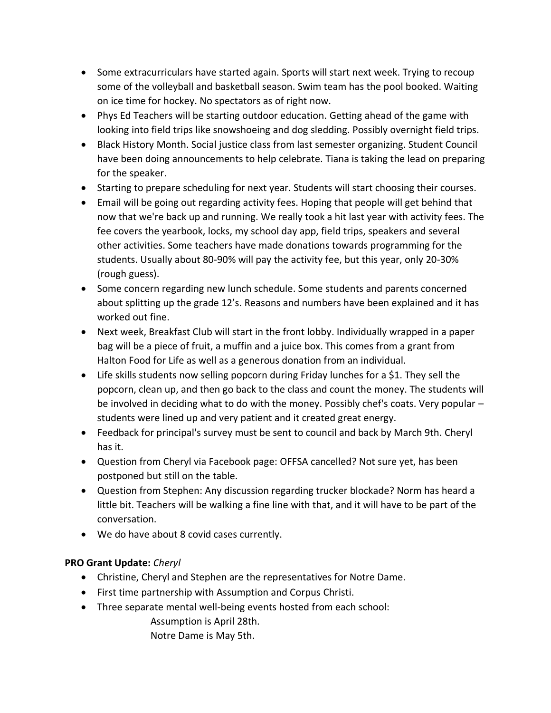- Some extracurriculars have started again. Sports will start next week. Trying to recoup some of the volleyball and basketball season. Swim team has the pool booked. Waiting on ice time for hockey. No spectators as of right now.
- Phys Ed Teachers will be starting outdoor education. Getting ahead of the game with looking into field trips like snowshoeing and dog sledding. Possibly overnight field trips.
- Black History Month. Social justice class from last semester organizing. Student Council have been doing announcements to help celebrate. Tiana is taking the lead on preparing for the speaker.
- Starting to prepare scheduling for next year. Students will start choosing their courses.
- Email will be going out regarding activity fees. Hoping that people will get behind that now that we're back up and running. We really took a hit last year with activity fees. The fee covers the yearbook, locks, my school day app, field trips, speakers and several other activities. Some teachers have made donations towards programming for the students. Usually about 80-90% will pay the activity fee, but this year, only 20-30% (rough guess).
- Some concern regarding new lunch schedule. Some students and parents concerned about splitting up the grade 12's. Reasons and numbers have been explained and it has worked out fine.
- Next week, Breakfast Club will start in the front lobby. Individually wrapped in a paper bag will be a piece of fruit, a muffin and a juice box. This comes from a grant from Halton Food for Life as well as a generous donation from an individual.
- Life skills students now selling popcorn during Friday lunches for a \$1. They sell the popcorn, clean up, and then go back to the class and count the money. The students will be involved in deciding what to do with the money. Possibly chef's coats. Very popular – students were lined up and very patient and it created great energy.
- Feedback for principal's survey must be sent to council and back by March 9th. Cheryl has it.
- Question from Cheryl via Facebook page: OFFSA cancelled? Not sure yet, has been postponed but still on the table.
- Question from Stephen: Any discussion regarding trucker blockade? Norm has heard a little bit. Teachers will be walking a fine line with that, and it will have to be part of the conversation.
- We do have about 8 covid cases currently.

## **PRO Grant Update:** *Cheryl*

- Christine, Cheryl and Stephen are the representatives for Notre Dame.
- First time partnership with Assumption and Corpus Christi.
- Three separate mental well-being events hosted from each school: Assumption is April 28th. Notre Dame is May 5th.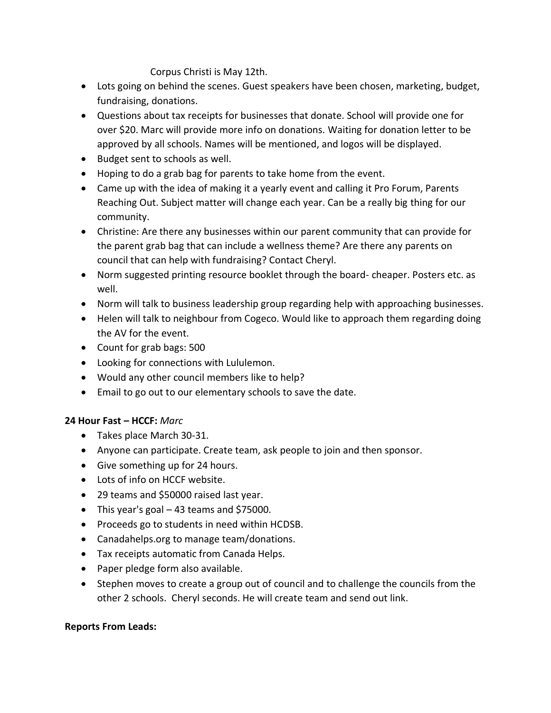Corpus Christi is May 12th.

- Lots going on behind the scenes. Guest speakers have been chosen, marketing, budget, fundraising, donations.
- Questions about tax receipts for businesses that donate. School will provide one for over \$20. Marc will provide more info on donations. Waiting for donation letter to be approved by all schools. Names will be mentioned, and logos will be displayed.
- Budget sent to schools as well.
- Hoping to do a grab bag for parents to take home from the event.
- Came up with the idea of making it a yearly event and calling it Pro Forum, Parents Reaching Out. Subject matter will change each year. Can be a really big thing for our community.
- Christine: Are there any businesses within our parent community that can provide for the parent grab bag that can include a wellness theme? Are there any parents on council that can help with fundraising? Contact Cheryl.
- Norm suggested printing resource booklet through the board- cheaper. Posters etc. as well.
- Norm will talk to business leadership group regarding help with approaching businesses.
- Helen will talk to neighbour from Cogeco. Would like to approach them regarding doing the AV for the event.
- Count for grab bags: 500
- Looking for connections with Lululemon.
- Would any other council members like to help?
- Email to go out to our elementary schools to save the date.

#### **24 Hour Fast – HCCF:** *Marc*

- Takes place March 30-31.
- Anyone can participate. Create team, ask people to join and then sponsor.
- Give something up for 24 hours.
- Lots of info on HCCF website.
- 29 teams and \$50000 raised last year.
- This year's goal 43 teams and \$75000.
- Proceeds go to students in need within HCDSB.
- Canadahelps.org to manage team/donations.
- Tax receipts automatic from Canada Helps.
- Paper pledge form also available.
- Stephen moves to create a group out of council and to challenge the councils from the other 2 schools. Cheryl seconds. He will create team and send out link.

#### **Reports From Leads:**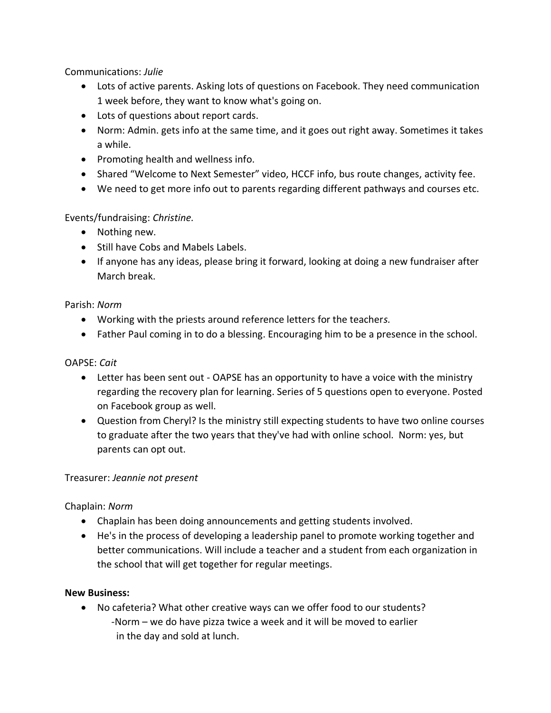#### Communications: *Julie*

- Lots of active parents. Asking lots of questions on Facebook. They need communication 1 week before, they want to know what's going on.
- Lots of questions about report cards.
- Norm: Admin. gets info at the same time, and it goes out right away. Sometimes it takes a while.
- Promoting health and wellness info.
- Shared "Welcome to Next Semester" video, HCCF info, bus route changes, activity fee.
- We need to get more info out to parents regarding different pathways and courses etc.

## Events/fundraising: *Christine.*

- Nothing new.
- Still have Cobs and Mabels Labels.
- If anyone has any ideas, please bring it forward, looking at doing a new fundraiser after March break.

### Parish: *Norm*

- Working with the priests around reference letters for the teacher*s.*
- Father Paul coming in to do a blessing. Encouraging him to be a presence in the school.

### OAPSE: *Cait*

- Letter has been sent out OAPSE has an opportunity to have a voice with the ministry regarding the recovery plan for learning. Series of 5 questions open to everyone. Posted on Facebook group as well.
- Question from Cheryl? Is the ministry still expecting students to have two online courses to graduate after the two years that they've had with online school. Norm: yes, but parents can opt out.

#### Treasurer: *Jeannie not present*

Chaplain: *Norm*

- Chaplain has been doing announcements and getting students involved.
- He's in the process of developing a leadership panel to promote working together and better communications. Will include a teacher and a student from each organization in the school that will get together for regular meetings.

#### **New Business:**

• No cafeteria? What other creative ways can we offer food to our students?  *-*Norm – we do have pizza twice a week and it will be moved to earlier in the day and sold at lunch.